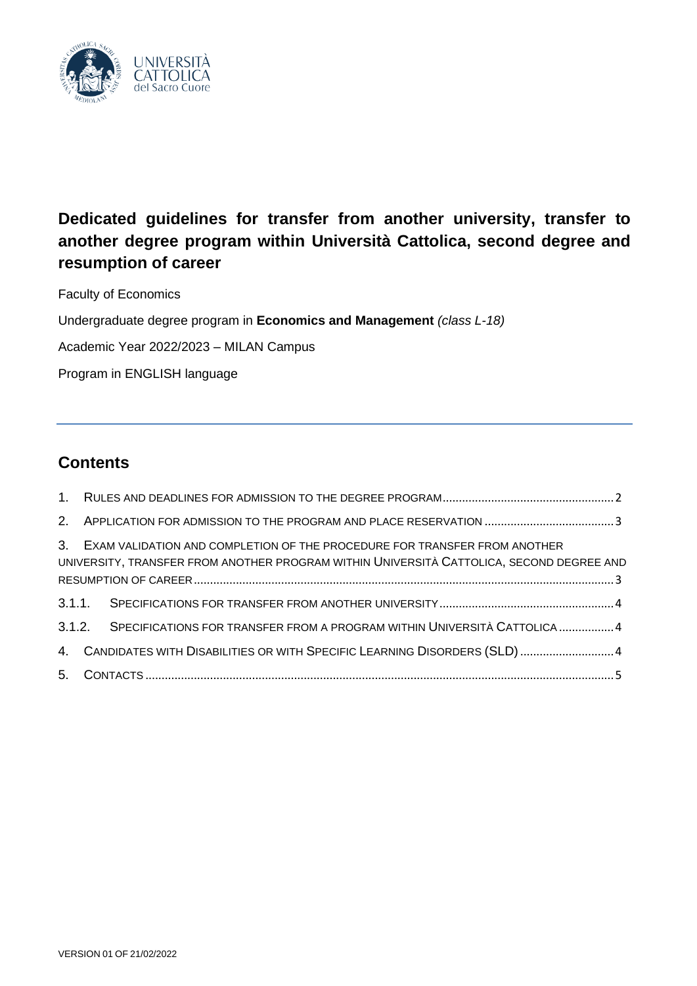

# **Dedicated guidelines for transfer from another university, transfer to another degree program within Università Cattolica, second degree and resumption of career**

Faculty of Economics

Undergraduate degree program in **Economics and Management** *(class L-18)*

Academic Year 2022/2023 – MILAN Campus

Program in ENGLISH language

# **Contents**

| 3. EXAM VALIDATION AND COMPLETION OF THE PROCEDURE FOR TRANSFER FROM ANOTHER<br>UNIVERSITY, TRANSFER FROM ANOTHER PROGRAM WITHIN UNIVERSITÀ CATTOLICA, SECOND DEGREE AND |  |
|--------------------------------------------------------------------------------------------------------------------------------------------------------------------------|--|
|                                                                                                                                                                          |  |
|                                                                                                                                                                          |  |
| 3.1.2. SPECIFICATIONS FOR TRANSFER FROM A PROGRAM WITHIN UNIVERSITÀ CATTOLICA 4                                                                                          |  |
| 4. CANDIDATES WITH DISABILITIES OR WITH SPECIFIC LEARNING DISORDERS (SLD)  4                                                                                             |  |
|                                                                                                                                                                          |  |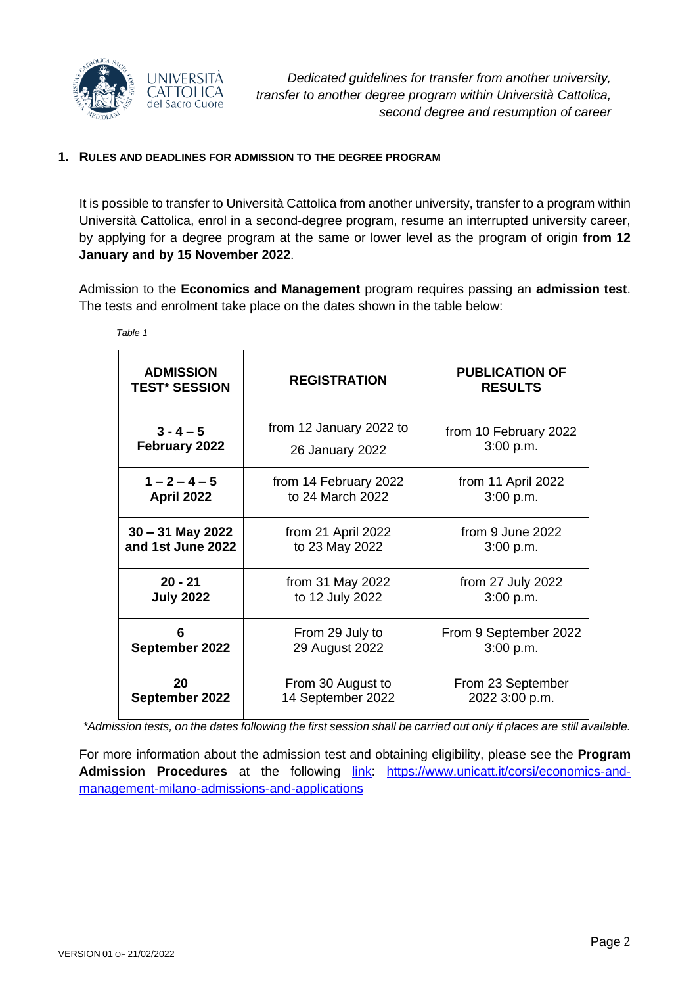

#### <span id="page-1-0"></span>**1. RULES AND DEADLINES FOR ADMISSION TO THE DEGREE PROGRAM**

It is possible to transfer to Università Cattolica from another university, transfer to a program within Università Cattolica, enrol in a second-degree program, resume an interrupted university career, by applying for a degree program at the same or lower level as the program of origin **from 12 January and by 15 November 2022**.

Admission to the **Economics and Management** program requires passing an **admission test**. The tests and enrolment take place on the dates shown in the table below:

| <b>ADMISSION</b><br><b>TEST* SESSION</b> | <b>REGISTRATION</b>     | <b>PUBLICATION OF</b><br><b>RESULTS</b> |
|------------------------------------------|-------------------------|-----------------------------------------|
| $3 - 4 - 5$                              | from 12 January 2022 to | from 10 February 2022                   |
| February 2022                            | 26 January 2022         | 3:00 p.m.                               |
| $1 - 2 - 4 - 5$                          | from 14 February 2022   | from 11 April 2022                      |
| April 2022                               | to 24 March 2022        | 3:00 p.m.                               |
| $30 - 31$ May 2022                       | from 21 April 2022      | from 9 June 2022                        |
| and 1st June 2022                        | to 23 May 2022          | 3:00 p.m.                               |
| $20 - 21$                                | from 31 May 2022        | from 27 July 2022                       |
| <b>July 2022</b>                         | to 12 July 2022         | 3:00 p.m.                               |
| 6                                        | From 29 July to         | From 9 September 2022                   |
| September 2022                           | 29 August 2022          | 3:00 p.m.                               |
| 20                                       | From 30 August to       | From 23 September                       |
| September 2022                           | 14 September 2022       | 2022 3:00 p.m.                          |

*Table 1*

*\*Admission tests, on the dates following the first session shall be carried out only if places are still available.*

For more information about the admission test and obtaining eligibility, please see the **Program** Admission Procedures at the following *[link:](https://www.unicatt.it/corsi/economics-and-management-milano-admissions-and-applications#sep) [https://www.unicatt.it/corsi/economics-and](https://www.unicatt.it/corsi/economics-and-management-milano-admissions-and-applications)*[management-milano-admissions-and-applications](https://www.unicatt.it/corsi/economics-and-management-milano-admissions-and-applications)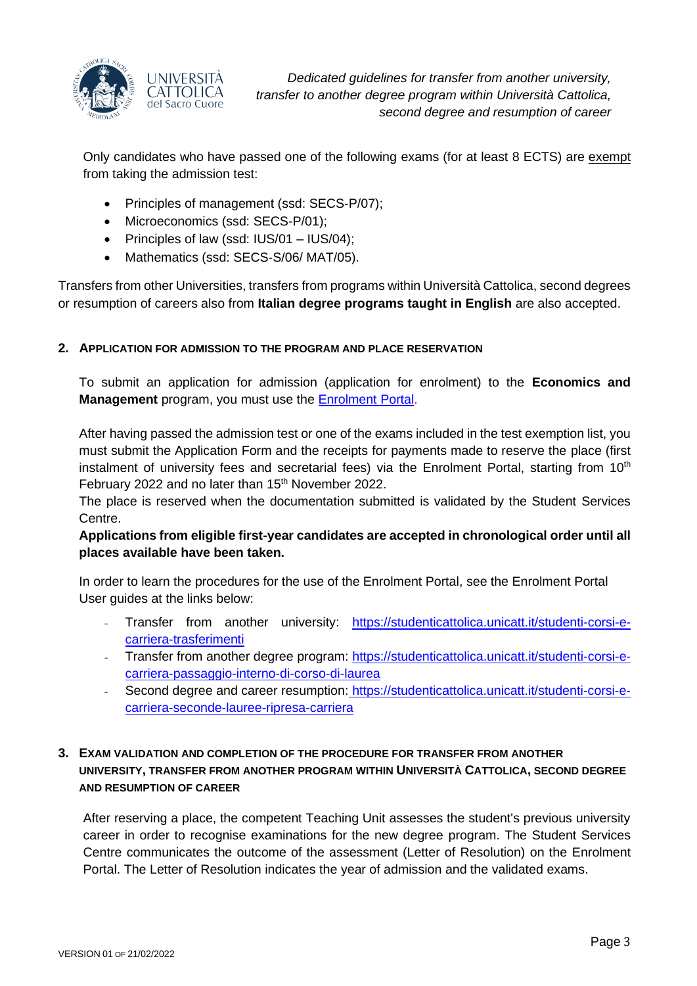

*Dedicated guidelines for transfer from another university, transfer to another degree program within Università Cattolica, second degree and resumption of career*

Only candidates who have passed one of the following exams (for at least 8 ECTS) are exempt from taking the admission test:

- Principles of management (ssd: SECS-P/07);
- Microeconomics (ssd: SECS-P/01);
- Principles of law (ssd: IUS/01 IUS/04);
- Mathematics (ssd: SECS-S/06/ MAT/05).

Transfers from other Universities, transfers from programs within Università Cattolica, second degrees or resumption of careers also from **Italian degree programs taught in English** are also accepted.

#### <span id="page-2-0"></span>**2. APPLICATION FOR ADMISSION TO THE PROGRAM AND PLACE RESERVATION**

To submit an application for admission (application for enrolment) to the **Economics and Management** program, you must use the [Enrolment](https://iscrizioni.unicatt.it/iscrizioni) Portal.

After having passed the admission test or one of the exams included in the test exemption list, you must submit the Application Form and the receipts for payments made to reserve the place (first instalment of university fees and secretarial fees) via the Enrolment Portal, starting from  $10<sup>th</sup>$ February 2022 and no later than 15<sup>th</sup> November 2022.

The place is reserved when the documentation submitted is validated by the Student Services Centre.

# **Applications from eligible first-year candidates are accepted in chronological order until all places available have been taken.**

In order to learn the procedures for the use of the Enrolment Portal, see the Enrolment Portal User guides at the links below:

- Transfer from another university: [https://studenticattolica.unicatt.it/studenti-corsi-e](https://studenticattolica.unicatt.it/studenti-corsi-e-carriera-trasferimenti)[carriera-trasferimenti](https://studenticattolica.unicatt.it/studenti-corsi-e-carriera-trasferimenti)
- Transfer from another degree program: [https://studenticattolica.unicatt.it/studenti-corsi-e](https://studenticattolica.unicatt.it/studenti-corsi-e-carriera-passaggio-interno-di-corso-di-laurea)[carriera-passaggio-interno-di-corso-di-laurea](https://studenticattolica.unicatt.it/studenti-corsi-e-carriera-passaggio-interno-di-corso-di-laurea)
- Second degree and career resumption: [https://studenticattolica.unicatt.it/studenti-corsi-e](https://studenticattolica.unicatt.it/studenti-corsi-e-carriera-seconde-lauree-ripresa-carriera)[carriera-seconde-lauree-ripresa-carriera](https://studenticattolica.unicatt.it/studenti-corsi-e-carriera-seconde-lauree-ripresa-carriera)

#### <span id="page-2-1"></span>**3. EXAM VALIDATION AND COMPLETION OF THE PROCEDURE FOR TRANSFER FROM ANOTHER UNIVERSITY, TRANSFER FROM ANOTHER PROGRAM WITHIN UNIVERSITÀ CATTOLICA, SECOND DEGREE AND RESUMPTION OF CAREER**

After reserving a place, the competent Teaching Unit assesses the student's previous university career in order to recognise examinations for the new degree program. The Student Services Centre communicates the outcome of the assessment (Letter of Resolution) on the Enrolment Portal. The Letter of Resolution indicates the year of admission and the validated exams.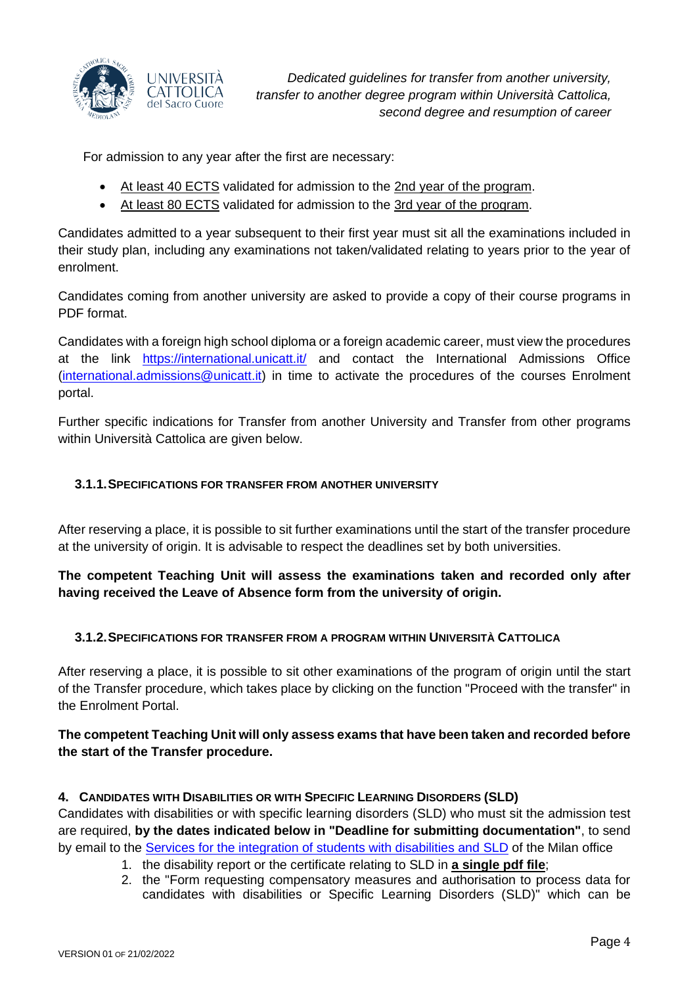

*Dedicated guidelines for transfer from another university, transfer to another degree program within Università Cattolica, second degree and resumption of career*

For admission to any year after the first are necessary:

- At least 40 ECTS validated for admission to the 2nd year of the program.
- At least 80 ECTS validated for admission to the 3rd year of the program.

Candidates admitted to a year subsequent to their first year must sit all the examinations included in their study plan, including any examinations not taken/validated relating to years prior to the year of enrolment.

Candidates coming from another university are asked to provide a copy of their course programs in PDF format.

Candidates with a foreign high school diploma or a foreign academic career, must view the procedures at the link <https://international.unicatt.it/> and contact the International Admissions Office [\(international.admissions@unicatt.it\)](mailto:international.admissions@unicatt.it) in time to activate the procedures of the courses Enrolment portal.

Further specific indications for Transfer from another University and Transfer from other programs within Università Cattolica are given below.

# <span id="page-3-0"></span>**3.1.1.SPECIFICATIONS FOR TRANSFER FROM ANOTHER UNIVERSITY**

After reserving a place, it is possible to sit further examinations until the start of the transfer procedure at the university of origin. It is advisable to respect the deadlines set by both universities.

# **The competent Teaching Unit will assess the examinations taken and recorded only after having received the Leave of Absence form from the university of origin.**

# <span id="page-3-1"></span>**3.1.2.SPECIFICATIONS FOR TRANSFER FROM A PROGRAM WITHIN UNIVERSITÀ CATTOLICA**

After reserving a place, it is possible to sit other examinations of the program of origin until the start of the Transfer procedure, which takes place by clicking on the function "Proceed with the transfer" in the Enrolment Portal.

# **The competent Teaching Unit will only assess exams that have been taken and recorded before the start of the Transfer procedure.**

#### <span id="page-3-2"></span>**4. CANDIDATES WITH DISABILITIES OR WITH SPECIFIC LEARNING DISORDERS (SLD)**

Candidates with disabilities or with specific learning disorders (SLD) who must sit the admission test are required, **by the dates indicated below in "Deadline for submitting documentation"**, to send by email to the [Services for the integration of students with disabilities and SLD](https://studenticattolica.unicatt.it/disabilita-e-dsa-inizia-da-qui) of the Milan office

- 1. the disability report or the certificate relating to SLD in **a single pdf file**;
- 2. the "Form requesting compensatory measures and authorisation to process data for candidates with disabilities or Specific Learning Disorders (SLD)" which can be